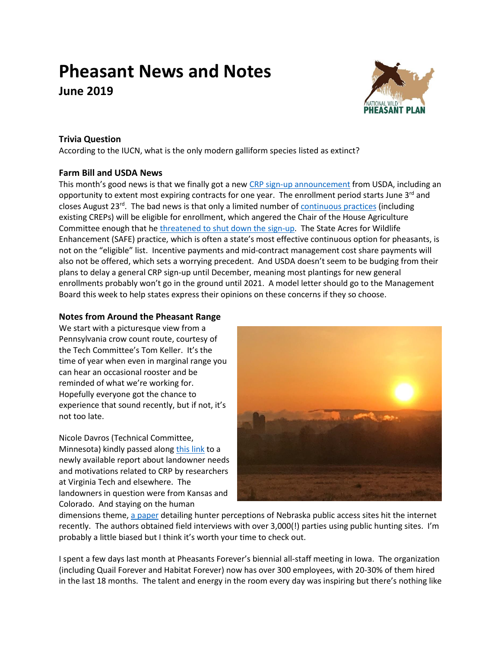# **Pheasant News and Notes June 2019**



## **Trivia Question**

According to the IUCN, what is the only modern galliform species listed as extinct?

## **Farm Bill and USDA News**

This month's good news is that we finally got a new [CRP sign-up announcement](https://www.fsa.usda.gov/news-room/news-releases/2019/usda-reopens-continuous-crp-signup) from USDA, including an opportunity to extent most expiring contracts for one year. The enrollment period starts June  $3<sup>rd</sup>$  and closes August 23<sup>rd</sup>. The bad news is that only a limited number of **continuous practices** (including existing CREPs) will be eligible for enrollment, which angered the Chair of the House Agriculture Committee enough that he threatened [to shut down the sign-up.](https://www.agri-pulse.com/articles/12206-angry-chairman-threatens-to-shut-down-conservation-signup) The State Acres for Wildlife Enhancement (SAFE) practice, which is often a state's most effective continuous option for pheasants, is not on the "eligible" list. Incentive payments and mid-contract management cost share payments will also not be offered, which sets a worrying precedent. And USDA doesn't seem to be budging from their plans to delay a general CRP sign-up until December, meaning most plantings for new general enrollments probably won't go in the ground until 2021. A model letter should go to the Management Board this week to help states express their opinions on these concerns if they so choose.

## **Notes from Around the Pheasant Range**

We start with a picturesque view from a Pennsylvania crow count route, courtesy of the Tech Committee's Tom Keller. It's the time of year when even in marginal range you can hear an occasional rooster and be reminded of what we're working for. Hopefully everyone got the chance to experience that sound recently, but if not, it's not too late.

Nicole Davros (Technical Committee, Minnesota) kindly passed along [this](https://vtechworks.lib.vt.edu/bitstream/handle/10919/88444/CRP%20Report%20-%20Final%205.pdf?sequence=2&isAllowed=y) link to a newly available report about landowner needs and motivations related to CRP by researchers at Virginia Tech and elsewhere. The landowners in question were from Kansas and Colorado. And staying on the human



dimensions theme, [a paper](https://fwspubs.org/doi/pdf/10.3996/082018-JFWM-077) detailing hunter perceptions of Nebraska public access sites hit the internet recently. The authors obtained field interviews with over 3,000(!) parties using public hunting sites. I'm probably a little biased but I think it's worth your time to check out.

I spent a few days last month at Pheasants Forever's biennial all-staff meeting in Iowa. The organization (including Quail Forever and Habitat Forever) now has over 300 employees, with 20-30% of them hired in the last 18 months. The talent and energy in the room every day was inspiring but there's nothing like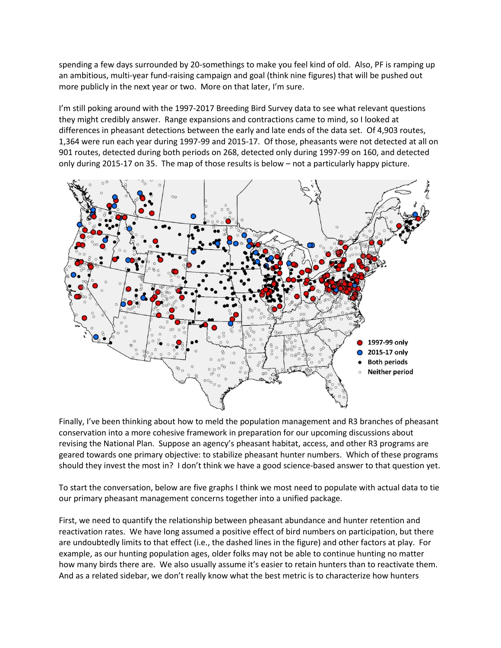spending a few days surrounded by 20-somethings to make you feel kind of old. Also, PF is ramping up an ambitious, multi-year fund-raising campaign and goal (think nine figures) that will be pushed out more publicly in the next year or two. More on that later, I'm sure.

I'm still poking around with the 1997-2017 Breeding Bird Survey data to see what relevant questions they might credibly answer. Range expansions and contractions came to mind, so I looked at differences in pheasant detections between the early and late ends of the data set. Of 4,903 routes, 1,364 were run each year during 1997-99 and 2015-17. Of those, pheasants were not detected at all on 901 routes, detected during both periods on 268, detected only during 1997-99 on 160, and detected only during 2015-17 on 35. The map of those results is below – not a particularly happy picture.



Finally, I've been thinking about how to meld the population management and R3 branches of pheasant conservation into a more cohesive framework in preparation for our upcoming discussions about revising the National Plan. Suppose an agency's pheasant habitat, access, and other R3 programs are geared towards one primary objective: to stabilize pheasant hunter numbers. Which of these programs should they invest the most in? I don't think we have a good science-based answer to that question yet.

To start the conversation, below are five graphs I think we most need to populate with actual data to tie our primary pheasant management concerns together into a unified package.

First, we need to quantify the relationship between pheasant abundance and hunter retention and reactivation rates. We have long assumed a positive effect of bird numbers on participation, but there are undoubtedly limits to that effect (i.e., the dashed lines in the figure) and other factors at play. For example, as our hunting population ages, older folks may not be able to continue hunting no matter how many birds there are. We also usually assume it's easier to retain hunters than to reactivate them. And as a related sidebar, we don't really know what the best metric is to characterize how hunters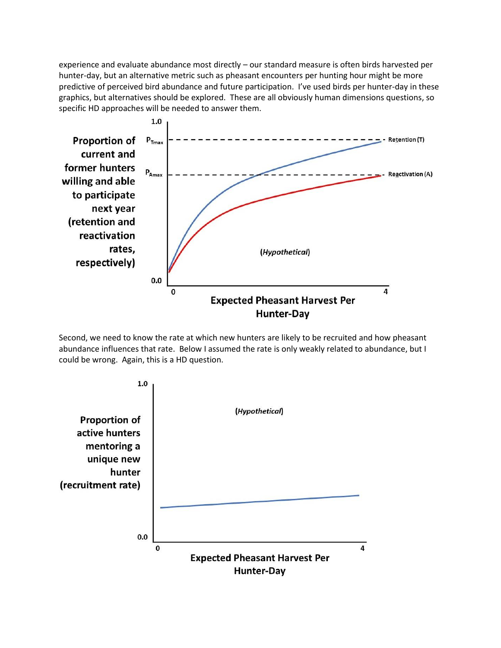experience and evaluate abundance most directly – our standard measure is often birds harvested per hunter-day, but an alternative metric such as pheasant encounters per hunting hour might be more predictive of perceived bird abundance and future participation. I've used birds per hunter-day in these graphics, but alternatives should be explored. These are all obviously human dimensions questions, so specific HD approaches will be needed to answer them.



Second, we need to know the rate at which new hunters are likely to be recruited and how pheasant abundance influences that rate. Below I assumed the rate is only weakly related to abundance, but I could be wrong. Again, this is a HD question.

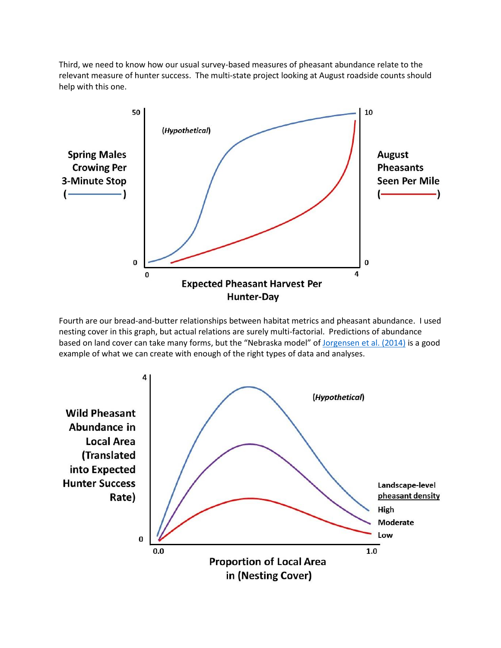Third, we need to know how our usual survey-based measures of pheasant abundance relate to the relevant measure of hunter success. The multi-state project looking at August roadside counts should help with this one.



Fourth are our bread-and-butter relationships between habitat metrics and pheasant abundance. I used nesting cover in this graph, but actual relations are surely multi-factorial. Predictions of abundance based on land cover can take many forms, but the "Nebraska model" o[f Jorgensen et al. \(2014\)](https://journals.plos.org/plosone/article?id=10.1371/journal.pone.0099339) is a good example of what we can create with enough of the right types of data and analyses.

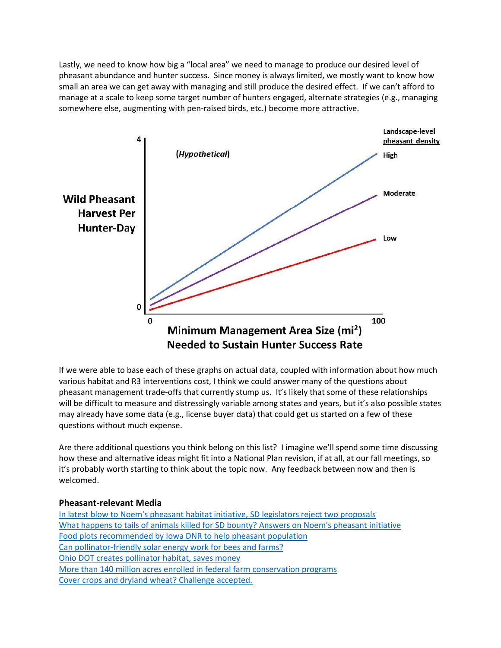Lastly, we need to know how big a "local area" we need to manage to produce our desired level of pheasant abundance and hunter success. Since money is always limited, we mostly want to know how small an area we can get away with managing and still produce the desired effect. If we can't afford to manage at a scale to keep some target number of hunters engaged, alternate strategies (e.g., managing somewhere else, augmenting with pen-raised birds, etc.) become more attractive.



If we were able to base each of these graphs on actual data, coupled with information about how much various habitat and R3 interventions cost, I think we could answer many of the questions about pheasant management trade-offs that currently stump us. It's likely that some of these relationships will be difficult to measure and distressingly variable among states and years, but it's also possible states may already have some data (e.g., license buyer data) that could get us started on a few of these questions without much expense.

Are there additional questions you think belong on this list? I imagine we'll spend some time discussing how these and alternative ideas might fit into a National Plan revision, if at all, at our fall meetings, so it's probably worth starting to think about the topic now. Any feedback between now and then is welcomed.

#### **Pheasant-relevant Media**

[In latest blow to Noem's pheasant habitat initiative, SD legislators reject two proposals](https://www.jamestownsun.com/news/government-and-politics/4609128-latest-blow-noems-pheasant-habitat-initiative-sd-legislators) [What happens to tails of animals killed for SD bounty? Answers on Noem's pheasant initiative](https://www.argusleader.com/story/news/politics/2019/05/09/what-happens-tails-animals-killed-bounty-answers-on-kristi-noems-pheasant-initiative/1131248001/) [Food plots recommended by Iowa DNR to](https://www.radioiowa.com/2019/05/06/food-plots-recommended-by-dnr-to-help-pheasant-population/) help pheasant population [Can pollinator-friendly solar energy work for bees and farms?](https://foodprint.org/blog/can-pollinator-friendly-solar-energy-work-for-bees-and-farms/) [Ohio DOT creates pollinator habitat, saves money](https://www.news5cleveland.com/news/originals/pollination-paradises-alongside-our-highways-are-helping-bring-back-vanishing-monarch-butterflies-while-saving-millions-of-dollars) [More than 140 million acres enrolled in federal farm conservation programs](https://www.fb.org/market-intel/more-than-140-million-acres-in-federal-farm-conservation-programs) [Cover crops and dryland wheat? Challenge accepted.](http://nrcs.maps.arcgis.com/apps/Cascade/index.html?appid=fa461f87f45549489e865a2a4ad6f59a)